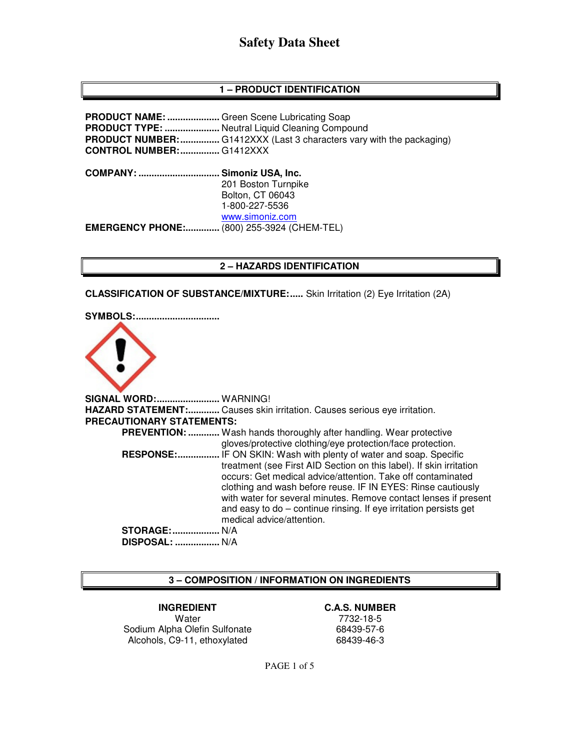## **1 – PRODUCT IDENTIFICATION**

**PRODUCT NAME: ....................** Green Scene Lubricating Soap **PRODUCT TYPE: .....................** Neutral Liquid Cleaning Compound **PRODUCT NUMBER: ...............** G1412XXX (Last 3 characters vary with the packaging) **CONTROL NUMBER: ...............** G1412XXX **COMPANY: ............................... Simoniz USA, Inc.** 201 Boston Turnpike Bolton, CT 06043 1-800-227-5536 www.simoniz.com **EMERGENCY PHONE:.............** (800) 255-3924 (CHEM-TEL)

### **2 – HAZARDS IDENTIFICATION**

**CLASSIFICATION OF SUBSTANCE/MIXTURE: .....** Skin Irritation (2) Eye Irritation (2A)

**SYMBOLS: ................................** 



**SIGNAL WORD: ........................** WARNING! **HAZARD STATEMENT:............** Causes skin irritation. Causes serious eye irritation. **PRECAUTIONARY STATEMENTS: PREVENTION: ............** Wash hands thoroughly after handling. Wear protective gloves/protective clothing/eye protection/face protection. **RESPONSE:.................** IF ON SKIN: Wash with plenty of water and soap. Specific treatment (see First AID Section on this label). If skin irritation occurs: Get medical advice/attention. Take off contaminated clothing and wash before reuse. IF IN EYES: Rinse cautiously with water for several minutes. Remove contact lenses if present and easy to do – continue rinsing. If eye irritation persists get medical advice/attention. **STORAGE: ..................** N/A  **DISPOSAL: .................** N/A

### **3 – COMPOSITION / INFORMATION ON INGREDIENTS**

Water 7732-18-5 Sodium Alpha Olefin Sulfonate 68439-57-6 Alcohols, C9-11, ethoxylated 68439-46-3

**INGREDIENT C.A.S. NUMBER** 

PAGE 1 of 5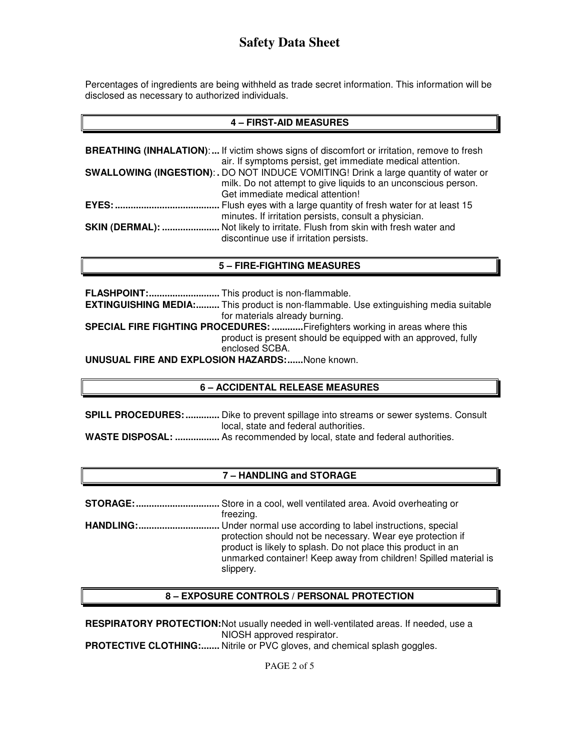Percentages of ingredients are being withheld as trade secret information. This information will be disclosed as necessary to authorized individuals.

## **4 – FIRST-AID MEASURES**

|              | <b>BREATHING (INHALATION):</b> If victim shows signs of discomfort or irritation, remove to fresh |
|--------------|---------------------------------------------------------------------------------------------------|
|              | air. If symptoms persist, get immediate medical attention.                                        |
|              | SWALLOWING (INGESTION): . DO NOT INDUCE VOMITING! Drink a large quantity of water or              |
|              | milk. Do not attempt to give liquids to an unconscious person.                                    |
|              | Get immediate medical attention!                                                                  |
| <b>EYES:</b> | Flush eyes with a large quantity of fresh water for at least 15                                   |
|              | minutes. If irritation persists, consult a physician.                                             |
|              | <b>SKIN (DERMAL):  Not likely to irritate. Flush from skin with fresh water and</b>               |
|              | discontinue use if irritation persists.                                                           |

#### **5 – FIRE-FIGHTING MEASURES**

|                                                                            | <b>EXTINGUISHING MEDIA:</b> This product is non-flammable. Use extinguishing media suitable |  |
|----------------------------------------------------------------------------|---------------------------------------------------------------------------------------------|--|
|                                                                            | for materials already burning.                                                              |  |
| SPECIAL FIRE FIGHTING PROCEDURES: Firefighters working in areas where this |                                                                                             |  |
|                                                                            | product is present should be equipped with an approved, fully                               |  |
|                                                                            | enclosed SCBA.                                                                              |  |
| <b>UNUSUAL FIRE AND EXPLOSION HAZARDS:</b> None known.                     |                                                                                             |  |

## **6 – ACCIDENTAL RELEASE MEASURES**

| <b>SPILL PROCEDURES: </b> Dike to prevent spillage into streams or sewer systems. Consult |
|-------------------------------------------------------------------------------------------|
| local, state and federal authorities.                                                     |
| <b>WASTE DISPOSAL:  As recommended by local, state and federal authorities.</b>           |

### **7 – HANDLING and STORAGE**

| STORAGE: | . Store in a cool, well ventilated area. Avoid overheating or                                                                                                                                               |
|----------|-------------------------------------------------------------------------------------------------------------------------------------------------------------------------------------------------------------|
|          | freezing.                                                                                                                                                                                                   |
|          |                                                                                                                                                                                                             |
|          | protection should not be necessary. Wear eye protection if<br>product is likely to splash. Do not place this product in an<br>unmarked container! Keep away from children! Spilled material is<br>slippery. |

### **8 – EXPOSURE CONTROLS / PERSONAL PROTECTION**

**RESPIRATORY PROTECTION:** Not usually needed in well-ventilated areas. If needed, use a NIOSH approved respirator.

**PROTECTIVE CLOTHING:.......** Nitrile or PVC gloves, and chemical splash goggles.

PAGE 2 of 5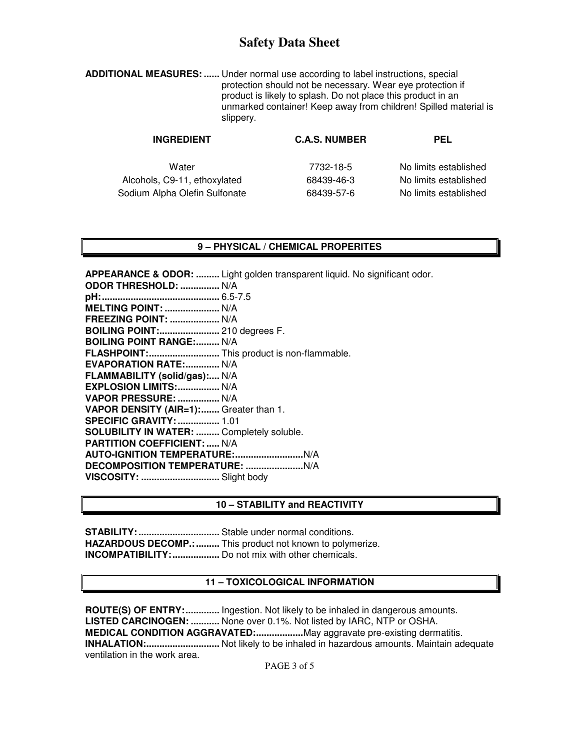**ADDITIONAL MEASURES: ......** Under normal use according to label instructions, special protection should not be necessary. Wear eye protection if product is likely to splash. Do not place this product in an unmarked container! Keep away from children! Spilled material is slippery.

| <b>INGREDIENT</b>             | <b>C.A.S. NUMBER</b> | <b>PEL</b>            |
|-------------------------------|----------------------|-----------------------|
| Water                         | 7732-18-5            | No limits established |
| Alcohols, C9-11, ethoxylated  | 68439-46-3           | No limits established |
| Sodium Alpha Olefin Sulfonate | 68439-57-6           | No limits established |

## **9 – PHYSICAL / CHEMICAL PROPERITES**

**APPEARANCE & ODOR: .........** Light golden transparent liquid. No significant odor.

| ODOR THRESHOLD:  N/A                             |  |
|--------------------------------------------------|--|
|                                                  |  |
| <b>MELTING POINT:  N/A</b>                       |  |
| <b>FREEZING POINT:  N/A</b>                      |  |
| <b>BOILING POINT: 210 degrees F.</b>             |  |
| <b>BOILING POINT RANGE: N/A</b>                  |  |
| FLASHPOINT: This product is non-flammable.       |  |
| <b>EVAPORATION RATE: N/A</b>                     |  |
| FLAMMABILITY (solid/gas): N/A                    |  |
| EXPLOSION LIMITS:  N/A                           |  |
| VAPOR PRESSURE:  N/A                             |  |
| VAPOR DENSITY (AIR=1): Greater than 1.           |  |
| <b>SPECIFIC GRAVITY:  1.01</b>                   |  |
| <b>SOLUBILITY IN WATER:  Completely soluble.</b> |  |
| <b>PARTITION COEFFICIENT:  N/A</b>               |  |
|                                                  |  |
|                                                  |  |
| VISCOSITY:  Slight body                          |  |

# **10 – STABILITY and REACTIVITY**

**STABILITY: ...............................** Stable under normal conditions. **HAZARDOUS DECOMP.: .........** This product not known to polymerize. **INCOMPATIBILITY: ..................** Do not mix with other chemicals.

# **11 – TOXICOLOGICAL INFORMATION**

**ROUTE(S) OF ENTRY: .............** Ingestion. Not likely to be inhaled in dangerous amounts. **LISTED CARCINOGEN: ...........** None over 0.1%. Not listed by IARC, NTP or OSHA. **MEDICAL CONDITION AGGRAVATED: ..................** May aggravate pre-existing dermatitis. **INHALATION: ............................** Not likely to be inhaled in hazardous amounts. Maintain adequate ventilation in the work area.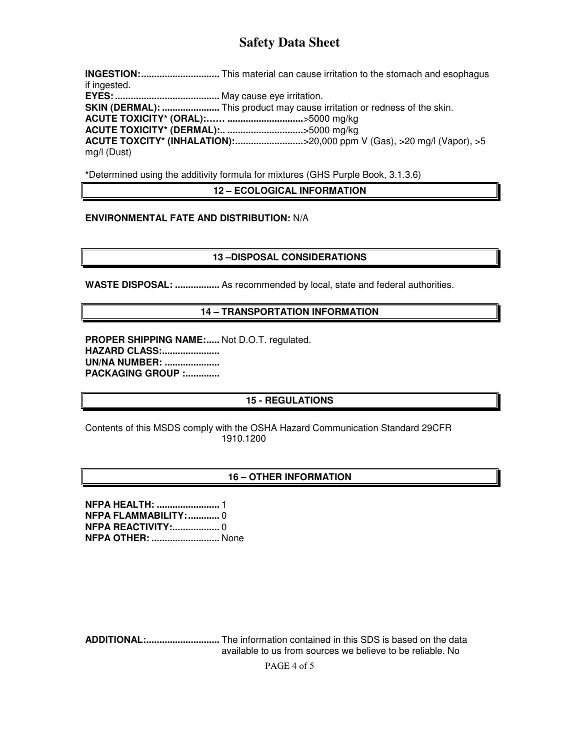**INGESTION: ..............................** This material can cause irritation to the stomach and esophagus if ingested. **EYES: ........................................** May cause eye irritation. **SKIN (DERMAL): ......................** This product may cause irritation or redness of the skin. **ACUTE TOXICITY\* (ORAL):…… .............................** >5000 mg/kg **ACUTE TOXICITY\* (DERMAL):.. .............................** >5000 mg/kg **ACUTE TOXCITY\* (INHALATION):................................>20,000 ppm V (Gas), >20 mg/l (Vapor), >5** mg/l (Dust)

**\***Determined using the additivity formula for mixtures (GHS Purple Book, 3.1.3.6)

**12 – ECOLOGICAL INFORMATION** 

### **ENVIRONMENTAL FATE AND DISTRIBUTION:** N/A

### **13 –DISPOSAL CONSIDERATIONS**

**WASTE DISPOSAL: .................** As recommended by local, state and federal authorities.

# **14 – TRANSPORTATION INFORMATION**

PROPER SHIPPING NAME:..... Not D.O.T. regulated. **HAZARD CLASS:...................... UN/NA NUMBER: ..................... PACKAGING GROUP :.............** 

# **15 - REGULATIONS**

Contents of this MSDS comply with the OSHA Hazard Communication Standard 29CFR 1910.1200

# **16 – OTHER INFORMATION**

**NFPA HEALTH: ........................** 1 **NFPA FLAMMABILITY: ............** 0 **NFPA REACTIVITY:................... 0 NFPA OTHER: ..........................** None

**ADDITIONAL: ............................** The information contained in this SDS is based on the data available to us from sources we believe to be reliable. No

PAGE 4 of 5